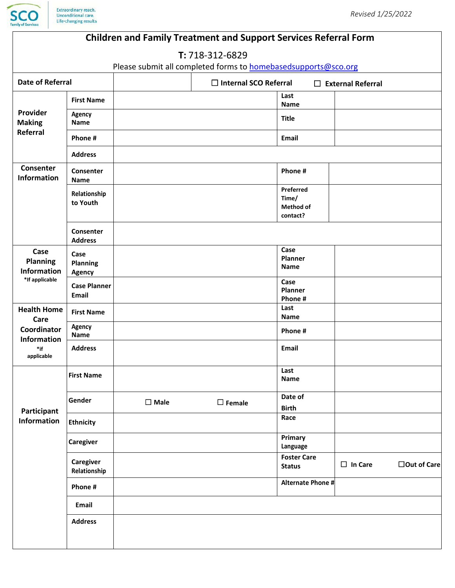

| <b>Children and Family Treatment and Support Services Referral Form</b>                 |                                   |                |                              |                                                    |                          |              |  |  |  |
|-----------------------------------------------------------------------------------------|-----------------------------------|----------------|------------------------------|----------------------------------------------------|--------------------------|--------------|--|--|--|
| T: 718-312-6829                                                                         |                                   |                |                              |                                                    |                          |              |  |  |  |
| Please submit all completed forms to <b>homebasedsupports@sco.org</b>                   |                                   |                |                              |                                                    |                          |              |  |  |  |
| <b>Date of Referral</b>                                                                 |                                   |                | $\Box$ Internal SCO Referral |                                                    | $\Box$ External Referral |              |  |  |  |
| Provider<br><b>Making</b><br>Referral                                                   | <b>First Name</b>                 |                |                              | Last<br><b>Name</b>                                |                          |              |  |  |  |
|                                                                                         | Agency<br><b>Name</b>             |                |                              | <b>Title</b>                                       |                          |              |  |  |  |
|                                                                                         | Phone #                           |                |                              | <b>Email</b>                                       |                          |              |  |  |  |
|                                                                                         | <b>Address</b>                    |                |                              |                                                    |                          |              |  |  |  |
| Consenter<br><b>Information</b>                                                         | Consenter<br><b>Name</b>          |                |                              | Phone #                                            |                          |              |  |  |  |
|                                                                                         | Relationship<br>to Youth          |                |                              | Preferred<br>Time/<br><b>Method of</b><br>contact? |                          |              |  |  |  |
|                                                                                         | Consenter<br><b>Address</b>       |                |                              |                                                    |                          |              |  |  |  |
| Case<br><b>Planning</b><br><b>Information</b><br>*If applicable                         | Case<br>Planning<br><b>Agency</b> |                |                              | Case<br><b>Planner</b><br><b>Name</b>              |                          |              |  |  |  |
|                                                                                         | <b>Case Planner</b><br>Email      |                |                              | Case<br>Planner<br>Phone #                         |                          |              |  |  |  |
| <b>Health Home</b><br>Care<br>Coordinator<br><b>Information</b><br>$*$ if<br>applicable | <b>First Name</b>                 |                |                              | Last<br><b>Name</b>                                |                          |              |  |  |  |
|                                                                                         | Agency<br>Name                    |                |                              | Phone #                                            |                          |              |  |  |  |
|                                                                                         | <b>Address</b>                    |                |                              | Email                                              |                          |              |  |  |  |
| Participant<br><b>Information</b>                                                       | <b>First Name</b>                 |                |                              | Last<br><b>Name</b>                                |                          |              |  |  |  |
|                                                                                         | Gender                            | $\square$ Male | $\square$ Female             | Date of<br><b>Birth</b>                            |                          |              |  |  |  |
|                                                                                         | <b>Ethnicity</b>                  |                |                              | Race                                               |                          |              |  |  |  |
|                                                                                         | <b>Caregiver</b>                  |                |                              | Primary<br>Language                                |                          |              |  |  |  |
|                                                                                         | Caregiver<br>Relationship         |                |                              | <b>Foster Care</b><br><b>Status</b>                | $\Box$ In Care           | □Out of Care |  |  |  |
|                                                                                         | Phone #                           |                |                              | Alternate Phone #                                  |                          |              |  |  |  |
|                                                                                         | Email                             |                |                              |                                                    |                          |              |  |  |  |
|                                                                                         | <b>Address</b>                    |                |                              |                                                    |                          |              |  |  |  |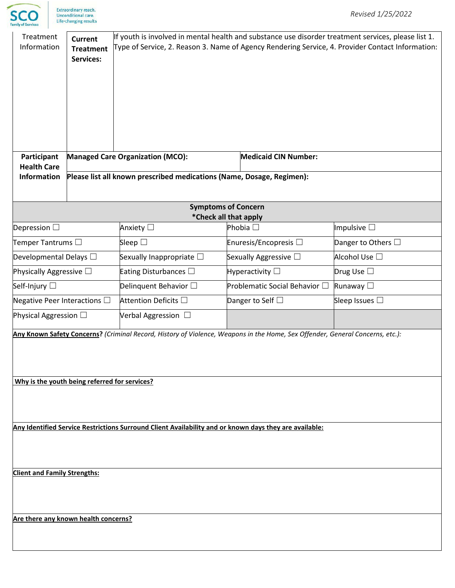

| Treatment<br>Information                                                                               | If youth is involved in mental health and substance use disorder treatment services, please list 1.<br>Type of Service, 2. Reason 3. Name of Agency Rendering Service, 4. Provider Contact Information: |                                                                                                                               |                               |                         |  |  |  |  |
|--------------------------------------------------------------------------------------------------------|---------------------------------------------------------------------------------------------------------------------------------------------------------------------------------------------------------|-------------------------------------------------------------------------------------------------------------------------------|-------------------------------|-------------------------|--|--|--|--|
| Participant<br><b>Health Care</b>                                                                      |                                                                                                                                                                                                         | <b>Managed Care Organization (MCO):</b>                                                                                       | <b>Medicaid CIN Number:</b>   |                         |  |  |  |  |
| <b>Information</b>                                                                                     | Please list all known prescribed medications (Name, Dosage, Regimen):                                                                                                                                   |                                                                                                                               |                               |                         |  |  |  |  |
|                                                                                                        |                                                                                                                                                                                                         | <b>Symptoms of Concern</b>                                                                                                    |                               |                         |  |  |  |  |
| Depression $\square$                                                                                   |                                                                                                                                                                                                         | *Check all that apply<br>Anxiety □                                                                                            | Phobia $\square$              | Impulsive $\square$     |  |  |  |  |
| Temper Tantrums $\square$                                                                              |                                                                                                                                                                                                         | Sleep $\square$                                                                                                               | Enuresis/Encopresis □         | Danger to Others $\Box$ |  |  |  |  |
| Developmental Delays $\square$                                                                         |                                                                                                                                                                                                         | Sexually Inappropriate $\square$                                                                                              | Sexually Aggressive $\Box$    | Alcohol Use □           |  |  |  |  |
| Physically Aggressive $\square$                                                                        |                                                                                                                                                                                                         | Eating Disturbances $\Box$                                                                                                    | Hyperactivity $\square$       | Drug Use $\square$      |  |  |  |  |
| Self-Injury □                                                                                          |                                                                                                                                                                                                         | Delinquent Behavior $\square$                                                                                                 | Problematic Social Behavior □ | Runaway □               |  |  |  |  |
| Negative Peer Interactions $\square$                                                                   |                                                                                                                                                                                                         | Attention Deficits □                                                                                                          | Danger to Self $\square$      | Sleep Issues $\Box$     |  |  |  |  |
| Physical Aggression $\Box$                                                                             |                                                                                                                                                                                                         | Verbal Aggression $\Box$                                                                                                      |                               |                         |  |  |  |  |
| Why is the youth being referred for services?                                                          |                                                                                                                                                                                                         | Any Known Safety Concerns? (Criminal Record, History of Violence, Weapons in the Home, Sex Offender, General Concerns, etc.): |                               |                         |  |  |  |  |
| Any Identified Service Restrictions Surround Client Availability and or known days they are available: |                                                                                                                                                                                                         |                                                                                                                               |                               |                         |  |  |  |  |
| <b>Client and Family Strengths:</b>                                                                    |                                                                                                                                                                                                         |                                                                                                                               |                               |                         |  |  |  |  |
| Are there any known health concerns?                                                                   |                                                                                                                                                                                                         |                                                                                                                               |                               |                         |  |  |  |  |